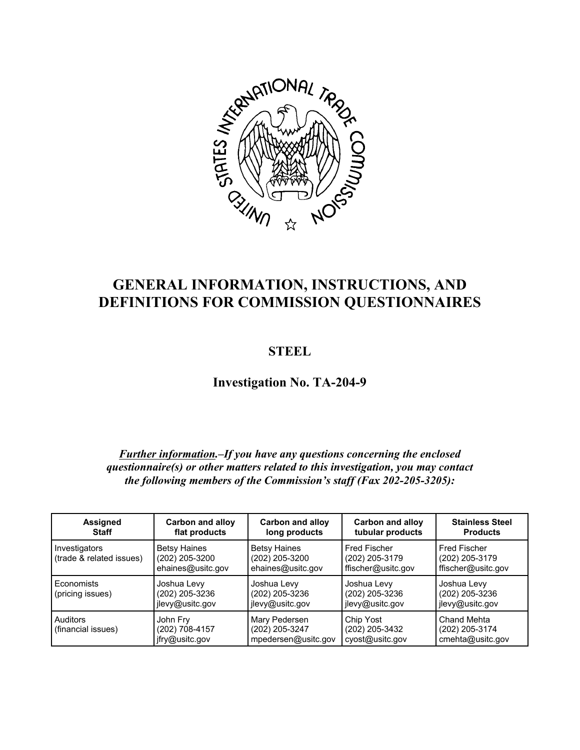

# **GENERAL INFORMATION, INSTRUCTIONS, AND DEFINITIONS FOR COMMISSION QUESTIONNAIRES**

# **STEEL**

**Investigation No. TA-204-9**

# *Further information.–If you have any questions concerning the enclosed questionnaire(s) or other matters related to this investigation, you may contact the following members of the Commission's staff (Fax 202-205-3205):*

| <b>Assigned</b><br><b>Staff</b>           | <b>Carbon and alloy</b><br>flat products                   | <b>Carbon and alloy</b><br>long products                   | <b>Carbon and alloy</b><br>tubular products                 | <b>Stainless Steel</b><br><b>Products</b>                   |
|-------------------------------------------|------------------------------------------------------------|------------------------------------------------------------|-------------------------------------------------------------|-------------------------------------------------------------|
| Investigators<br>(trade & related issues) | <b>Betsy Haines</b><br>(202) 205-3200<br>ehaines@usitc.gov | <b>Betsy Haines</b><br>(202) 205-3200<br>ehaines@usitc.gov | <b>Fred Fischer</b><br>(202) 205-3179<br>ffischer@usitc.gov | <b>Fred Fischer</b><br>(202) 205-3179<br>ffischer@usitc.gov |
| Economists<br>(pricing issues)            | Joshua Levy<br>(202) 205-3236<br>jlevy@usitc.gov           | Joshua Levy<br>(202) 205-3236<br>jlevy@usitc.gov           | Joshua Levy<br>(202) 205-3236<br>jlevy@usitc.gov            | Joshua Levy<br>(202) 205-3236<br>jlevy@usitc.gov            |
| Auditors<br>(financial issues)            | John Fry<br>(202) 708-4157<br>jfry@usitc.gov               | Mary Pedersen<br>(202) 205-3247<br>mpedersen@usitc.gov     | Chip Yost<br>(202) 205-3432<br>cyost@usitc.gov              | Chand Mehta<br>(202) 205-3174<br>cmehta@usitc.gov           |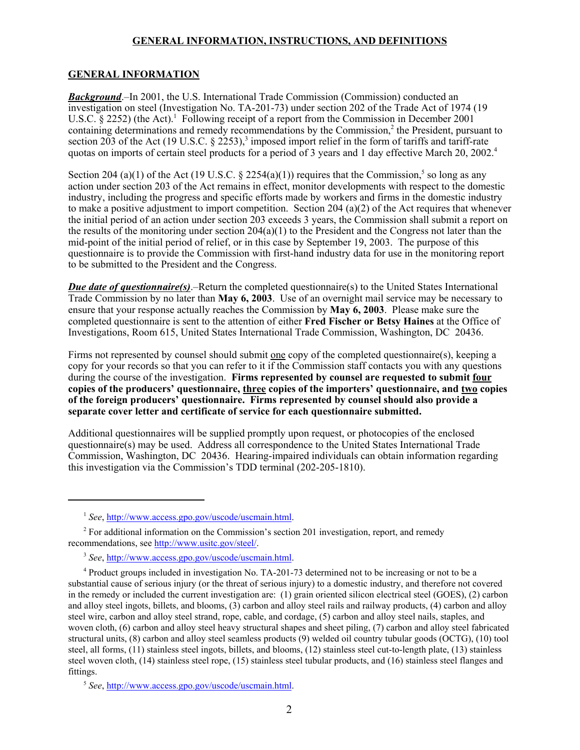### **GENERAL INFORMATION**

*Background*.–In 2001, the U.S. International Trade Commission (Commission) conducted an investigation on steel (Investigation No. TA-201-73) under section 202 of the Trade Act of 1974 (19 U.S.C.  $\S$  2252) (the Act).<sup>1</sup> Following receipt of a report from the Commission in December 2001 containing determinations and remedy recommendations by the Commission,<sup>2</sup> the President, pursuant to section 203 of the Act (19 U.S.C.  $\S$  2253),<sup>3</sup> imposed import relief in the form of tariffs and tariff-rate quotas on imports of certain steel products for a period of 3 years and 1 day effective March 20, 2002.<sup>4</sup>

Section 204 (a)(1) of the Act (19 U.S.C.  $\S$  2254(a)(1)) requires that the Commission,<sup>5</sup> so long as any action under section 203 of the Act remains in effect, monitor developments with respect to the domestic industry, including the progress and specific efforts made by workers and firms in the domestic industry to make a positive adjustment to import competition. Section 204 (a)(2) of the Act requires that whenever the initial period of an action under section 203 exceeds 3 years, the Commission shall submit a report on the results of the monitoring under section  $204(a)(1)$  to the President and the Congress not later than the mid-point of the initial period of relief, or in this case by September 19, 2003. The purpose of this questionnaire is to provide the Commission with first-hand industry data for use in the monitoring report to be submitted to the President and the Congress.

*Due date of questionnaire(s)*.–Return the completed questionnaire(s) to the United States International Trade Commission by no later than **May 6, 2003**. Use of an overnight mail service may be necessary to ensure that your response actually reaches the Commission by **May 6, 2003**. Please make sure the completed questionnaire is sent to the attention of either **Fred Fischer or Betsy Haines** at the Office of Investigations, Room 615, United States International Trade Commission, Washington, DC 20436.

Firms not represented by counsel should submit one copy of the completed questionnaire(s), keeping a copy for your records so that you can refer to it if the Commission staff contacts you with any questions during the course of the investigation. **Firms represented by counsel are requested to submit four copies of the producers' questionnaire, three copies of the importers' questionnaire, and two copies of the foreign producers' questionnaire. Firms represented by counsel should also provide a separate cover letter and certificate of service for each questionnaire submitted.** 

Additional questionnaires will be supplied promptly upon request, or photocopies of the enclosed questionnaire(s) may be used. Address all correspondence to the United States International Trade Commission, Washington, DC 20436. Hearing-impaired individuals can obtain information regarding this investigation via the Commission's TDD terminal (202-205-1810).

<sup>1</sup> *See*, http://www.access.gpo.gov/uscode/uscmain.html.

<sup>&</sup>lt;sup>2</sup> For additional information on the Commission's section 201 investigation, report, and remedy recommendations, see http://www.usitc.gov/steel/.

<sup>3</sup> *See*, http://www.access.gpo.gov/uscode/uscmain.html.

<sup>4</sup> Product groups included in investigation No. TA-201-73 determined not to be increasing or not to be a substantial cause of serious injury (or the threat of serious injury) to a domestic industry, and therefore not covered in the remedy or included the current investigation are: (1) grain oriented silicon electrical steel (GOES), (2) carbon and alloy steel ingots, billets, and blooms, (3) carbon and alloy steel rails and railway products, (4) carbon and alloy steel wire, carbon and alloy steel strand, rope, cable, and cordage, (5) carbon and alloy steel nails, staples, and woven cloth, (6) carbon and alloy steel heavy structural shapes and sheet piling, (7) carbon and alloy steel fabricated structural units, (8) carbon and alloy steel seamless products (9) welded oil country tubular goods (OCTG), (10) tool steel, all forms, (11) stainless steel ingots, billets, and blooms, (12) stainless steel cut-to-length plate, (13) stainless steel woven cloth, (14) stainless steel rope, (15) stainless steel tubular products, and (16) stainless steel flanges and fittings.

<sup>5</sup> *See*, http://www.access.gpo.gov/uscode/uscmain.html.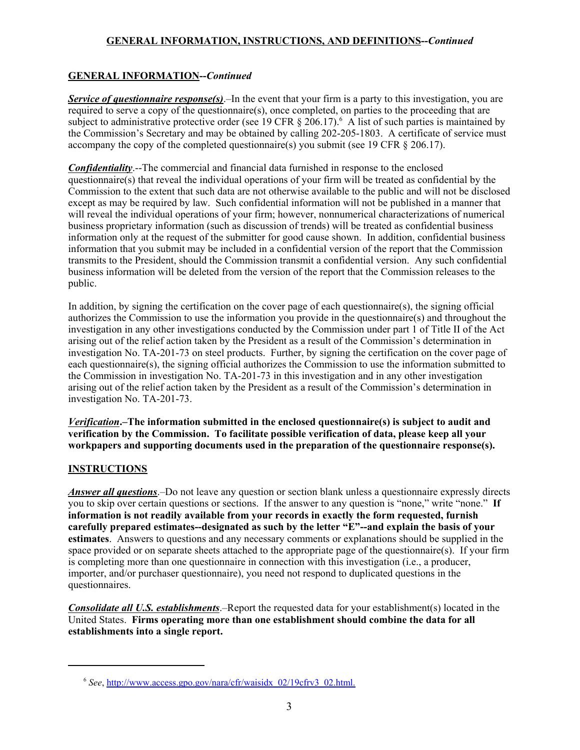# **GENERAL INFORMATION--***Continued*

*Service of questionnaire response(s)*.–In the event that your firm is a party to this investigation, you are required to serve a copy of the questionnaire(s), once completed, on parties to the proceeding that are subject to administrative protective order (see 19 CFR  $\S$  206.17).<sup>6</sup> A list of such parties is maintained by the Commission's Secretary and may be obtained by calling 202-205-1803. A certificate of service must accompany the copy of the completed questionnaire(s) you submit (see 19 CFR  $\S$  206.17).

*Confidentiality*.--The commercial and financial data furnished in response to the enclosed questionnaire(s) that reveal the individual operations of your firm will be treated as confidential by the Commission to the extent that such data are not otherwise available to the public and will not be disclosed except as may be required by law. Such confidential information will not be published in a manner that will reveal the individual operations of your firm; however, nonnumerical characterizations of numerical business proprietary information (such as discussion of trends) will be treated as confidential business information only at the request of the submitter for good cause shown. In addition, confidential business information that you submit may be included in a confidential version of the report that the Commission transmits to the President, should the Commission transmit a confidential version. Any such confidential business information will be deleted from the version of the report that the Commission releases to the public.

In addition, by signing the certification on the cover page of each questionnaire(s), the signing official authorizes the Commission to use the information you provide in the questionnaire(s) and throughout the investigation in any other investigations conducted by the Commission under part 1 of Title II of the Act arising out of the relief action taken by the President as a result of the Commission's determination in investigation No. TA-201-73 on steel products. Further, by signing the certification on the cover page of each questionnaire(s), the signing official authorizes the Commission to use the information submitted to the Commission in investigation No. TA-201-73 in this investigation and in any other investigation arising out of the relief action taken by the President as a result of the Commission's determination in investigation No. TA-201-73.

*Verification***.–The information submitted in the enclosed questionnaire(s) is subject to audit and verification by the Commission. To facilitate possible verification of data, please keep all your workpapers and supporting documents used in the preparation of the questionnaire response(s).**

# **INSTRUCTIONS**

*Answer all questions*.–Do not leave any question or section blank unless a questionnaire expressly directs you to skip over certain questions or sections. If the answer to any question is "none," write "none." **If information is not readily available from your records in exactly the form requested, furnish carefully prepared estimates--designated as such by the letter "E"--and explain the basis of your estimates**. Answers to questions and any necessary comments or explanations should be supplied in the space provided or on separate sheets attached to the appropriate page of the questionnaire(s). If your firm is completing more than one questionnaire in connection with this investigation (i.e., a producer, importer, and/or purchaser questionnaire), you need not respond to duplicated questions in the questionnaires.

*Consolidate all U.S. establishments*.–Report the requested data for your establishment(s) located in the United States. **Firms operating more than one establishment should combine the data for all establishments into a single report.**

<sup>6</sup> *See*, http://www.access.gpo.gov/nara/cfr/waisidx\_02/19cfrv3\_02.html.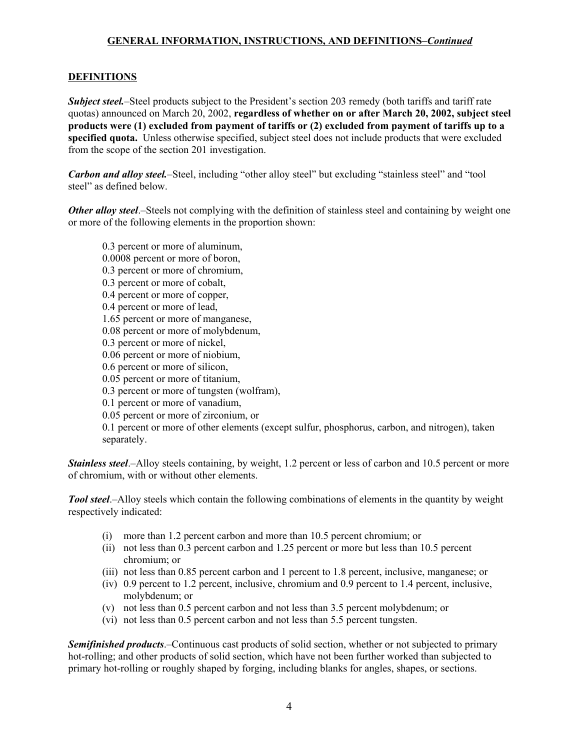# **DEFINITIONS**

*Subject steel.*–Steel products subject to the President's section 203 remedy (both tariffs and tariff rate quotas) announced on March 20, 2002, **regardless of whether on or after March 20, 2002, subject steel products were (1) excluded from payment of tariffs or (2) excluded from payment of tariffs up to a specified quota.** Unless otherwise specified, subject steel does not include products that were excluded from the scope of the section 201 investigation.

*Carbon and alloy steel.*–Steel, including "other alloy steel" but excluding "stainless steel" and "tool steel" as defined below.

*Other alloy steel*.—Steels not complying with the definition of stainless steel and containing by weight one or more of the following elements in the proportion shown:

0.3 percent or more of aluminum, 0.0008 percent or more of boron, 0.3 percent or more of chromium, 0.3 percent or more of cobalt, 0.4 percent or more of copper, 0.4 percent or more of lead, 1.65 percent or more of manganese, 0.08 percent or more of molybdenum, 0.3 percent or more of nickel, 0.06 percent or more of niobium, 0.6 percent or more of silicon, 0.05 percent or more of titanium, 0.3 percent or more of tungsten (wolfram), 0.1 percent or more of vanadium, 0.05 percent or more of zirconium, or 0.1 percent or more of other elements (except sulfur, phosphorus, carbon, and nitrogen), taken separately.

*Stainless steel*.–Alloy steels containing, by weight, 1.2 percent or less of carbon and 10.5 percent or more of chromium, with or without other elements.

*Tool steel*.–Alloy steels which contain the following combinations of elements in the quantity by weight respectively indicated:

- (i) more than 1.2 percent carbon and more than 10.5 percent chromium; or
- (ii) not less than 0.3 percent carbon and 1.25 percent or more but less than 10.5 percent chromium; or
- (iii) not less than 0.85 percent carbon and 1 percent to 1.8 percent, inclusive, manganese; or
- (iv) 0.9 percent to 1.2 percent, inclusive, chromium and 0.9 percent to 1.4 percent, inclusive, molybdenum; or
- (v) not less than 0.5 percent carbon and not less than 3.5 percent molybdenum; or
- (vi) not less than 0.5 percent carbon and not less than 5.5 percent tungsten.

*Semifinished products*.–Continuous cast products of solid section, whether or not subjected to primary hot-rolling; and other products of solid section, which have not been further worked than subjected to primary hot-rolling or roughly shaped by forging, including blanks for angles, shapes, or sections.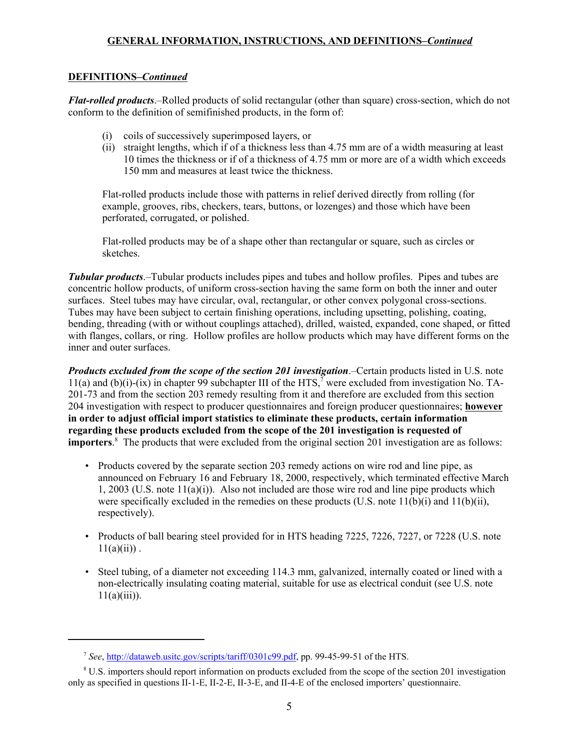# **DEFINITIONS–***Continued*

*Flat-rolled products*.–Rolled products of solid rectangular (other than square) cross-section, which do not conform to the definition of semifinished products, in the form of:

- (i) coils of successively superimposed layers, or
- (ii) straight lengths, which if of a thickness less than 4.75 mm are of a width measuring at least 10 times the thickness or if of a thickness of 4.75 mm or more are of a width which exceeds 150 mm and measures at least twice the thickness.

Flat-rolled products include those with patterns in relief derived directly from rolling (for example, grooves, ribs, checkers, tears, buttons, or lozenges) and those which have been perforated, corrugated, or polished.

Flat-rolled products may be of a shape other than rectangular or square, such as circles or sketches.

*Tubular products*.–Tubular products includes pipes and tubes and hollow profiles. Pipes and tubes are concentric hollow products, of uniform cross-section having the same form on both the inner and outer surfaces. Steel tubes may have circular, oval, rectangular, or other convex polygonal cross-sections. Tubes may have been subject to certain finishing operations, including upsetting, polishing, coating, bending, threading (with or without couplings attached), drilled, waisted, expanded, cone shaped, or fitted with flanges, collars, or ring. Hollow profiles are hollow products which may have different forms on the inner and outer surfaces.

*Products excluded from the scope of the section 201 investigation*.–Certain products listed in U.S. note 11(a) and  $(b)(i)-(ix)$  in chapter 99 subchapter III of the HTS,<sup>7</sup> were excluded from investigation No. TA-201-73 and from the section 203 remedy resulting from it and therefore are excluded from this section 204 investigation with respect to producer questionnaires and foreign producer questionnaires; **however in order to adjust official import statistics to eliminate these products, certain information regarding these products excluded from the scope of the 201 investigation is requested of importers**. 8 The products that were excluded from the original section 201 investigation are as follows:

- Products covered by the separate section 203 remedy actions on wire rod and line pipe, as announced on February 16 and February 18, 2000, respectively, which terminated effective March 1, 2003 (U.S. note  $11(a)(i)$ ). Also not included are those wire rod and line pipe products which were specifically excluded in the remedies on these products (U.S. note  $11(b)(i)$  and  $11(b)(ii)$ , respectively).
- Products of ball bearing steel provided for in HTS heading 7225, 7226, 7227, or 7228 (U.S. note  $11(a)(ii)$ .
- Steel tubing, of a diameter not exceeding 114.3 mm, galvanized, internally coated or lined with a non-electrically insulating coating material, suitable for use as electrical conduit (see U.S. note  $11(a)(iii)$ ).

<sup>7</sup> *See*, http://dataweb.usitc.gov/scripts/tariff/0301c99.pdf, pp. 99-45-99-51 of the HTS.

<sup>&</sup>lt;sup>8</sup> U.S. importers should report information on products excluded from the scope of the section 201 investigation only as specified in questions II-1-E, II-2-E, II-3-E, and II-4-E of the enclosed importers' questionnaire.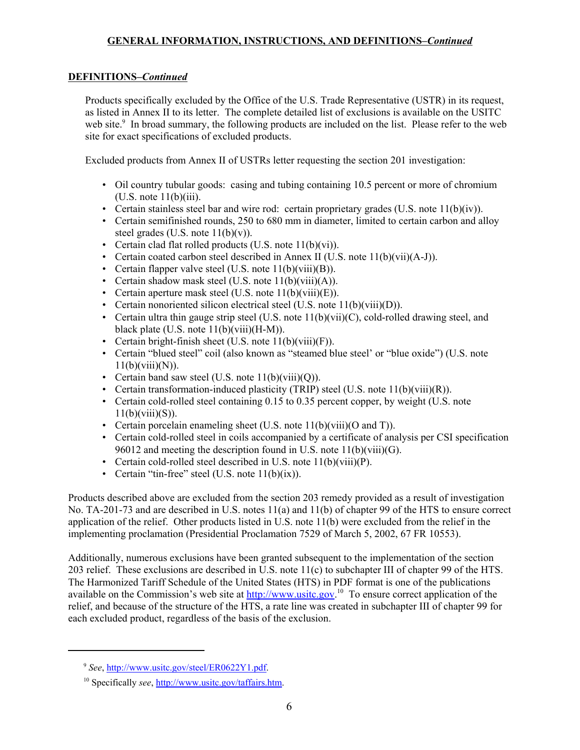# **DEFINITIONS–***Continued*

Products specifically excluded by the Office of the U.S. Trade Representative (USTR) in its request, as listed in Annex II to its letter. The complete detailed list of exclusions is available on the USITC web site.<sup>9</sup> In broad summary, the following products are included on the list. Please refer to the web site for exact specifications of excluded products.

Excluded products from Annex II of USTRs letter requesting the section 201 investigation:

- Oil country tubular goods: casing and tubing containing 10.5 percent or more of chromium  $(U.S. note 11(b)(iii).$
- Certain stainless steel bar and wire rod: certain proprietary grades (U.S. note  $11(b)(iv)$ ).
- Certain semifinished rounds, 250 to 680 mm in diameter, limited to certain carbon and alloy steel grades (U.S. note  $11(b)(v)$ ).
- Certain clad flat rolled products (U.S. note 11(b)(vi)).
- Certain coated carbon steel described in Annex II (U.S. note  $11(b)(vii)(A-J)$ ).
- Certain flapper valve steel (U.S. note 11(b)(viii)(B)).
- Certain shadow mask steel (U.S. note  $11(b)(viii)(A)$ ).
- Certain aperture mask steel (U.S. note 11(b)(viii)(E)).
- Certain nonoriented silicon electrical steel (U.S. note 11(b)(viii)(D)).
- Certain ultra thin gauge strip steel (U.S. note  $11(b)(vii)(C)$ , cold-rolled drawing steel, and black plate (U.S. note  $11(b)(viii)(H-M)$ ).
- Certain bright-finish sheet (U.S. note 11(b)(viii)(F)).
- Certain "blued steel" coil (also known as "steamed blue steel' or "blue oxide") (U.S. note  $11(b)(viii)(N)).$
- Certain band saw steel (U.S. note  $11(b)(viii)(Q)$ ).
- Certain transformation-induced plasticity (TRIP) steel (U.S. note  $11(b)(viii)(R)$ ).
- Certain cold-rolled steel containing 0.15 to 0.35 percent copper, by weight (U.S. note  $11(b)(viii)(S)$ ).
- Certain porcelain enameling sheet (U.S. note 11(b)(viii)(O and T)).
- Certain cold-rolled steel in coils accompanied by a certificate of analysis per CSI specification 96012 and meeting the description found in U.S. note 11(b)(viii)(G).
- Certain cold-rolled steel described in U.S. note 11(b)(viii)(P).
- Certain "tin-free" steel (U.S. note 11(b)(ix)).

Products described above are excluded from the section 203 remedy provided as a result of investigation No. TA-201-73 and are described in U.S. notes 11(a) and 11(b) of chapter 99 of the HTS to ensure correct application of the relief. Other products listed in U.S. note 11(b) were excluded from the relief in the implementing proclamation (Presidential Proclamation 7529 of March 5, 2002, 67 FR 10553).

Additionally, numerous exclusions have been granted subsequent to the implementation of the section 203 relief. These exclusions are described in U.S. note 11(c) to subchapter III of chapter 99 of the HTS. The Harmonized Tariff Schedule of the United States (HTS) in PDF format is one of the publications available on the Commission's web site at **http://www.usitc.gov.**<sup>10</sup> To ensure correct application of the relief, and because of the structure of the HTS, a rate line was created in subchapter III of chapter 99 for each excluded product, regardless of the basis of the exclusion.

<sup>9</sup> *See*, http://www.usitc.gov/steel/ER0622Y1.pdf.

10 Specifically *see*, http://www.usitc.gov/taffairs.htm.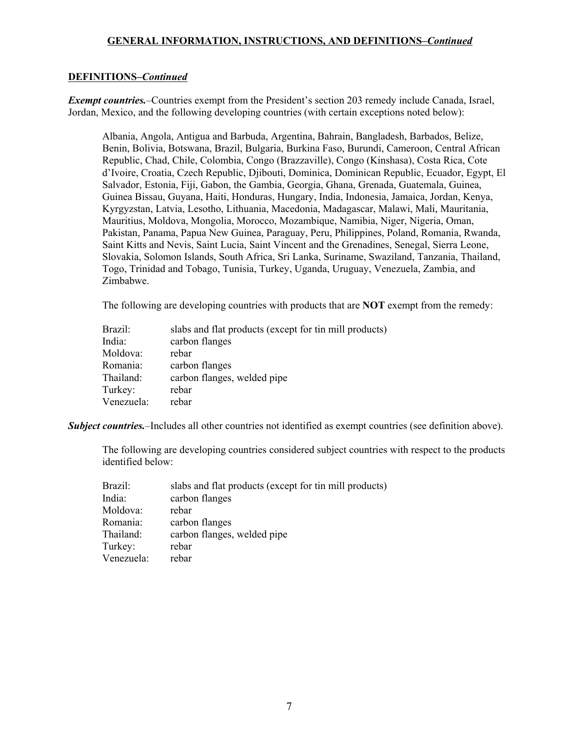## **DEFINITIONS–***Continued*

*Exempt countries.*–Countries exempt from the President's section 203 remedy include Canada, Israel, Jordan, Mexico, and the following developing countries (with certain exceptions noted below):

Albania, Angola, Antigua and Barbuda, Argentina, Bahrain, Bangladesh, Barbados, Belize, Benin, Bolivia, Botswana, Brazil, Bulgaria, Burkina Faso, Burundi, Cameroon, Central African Republic, Chad, Chile, Colombia, Congo (Brazzaville), Congo (Kinshasa), Costa Rica, Cote d'Ivoire, Croatia, Czech Republic, Djibouti, Dominica, Dominican Republic, Ecuador, Egypt, El Salvador, Estonia, Fiji, Gabon, the Gambia, Georgia, Ghana, Grenada, Guatemala, Guinea, Guinea Bissau, Guyana, Haiti, Honduras, Hungary, India, Indonesia, Jamaica, Jordan, Kenya, Kyrgyzstan, Latvia, Lesotho, Lithuania, Macedonia, Madagascar, Malawi, Mali, Mauritania, Mauritius, Moldova, Mongolia, Morocco, Mozambique, Namibia, Niger, Nigeria, Oman, Pakistan, Panama, Papua New Guinea, Paraguay, Peru, Philippines, Poland, Romania, Rwanda, Saint Kitts and Nevis, Saint Lucia, Saint Vincent and the Grenadines, Senegal, Sierra Leone, Slovakia, Solomon Islands, South Africa, Sri Lanka, Suriname, Swaziland, Tanzania, Thailand, Togo, Trinidad and Tobago, Tunisia, Turkey, Uganda, Uruguay, Venezuela, Zambia, and Zimbabwe.

The following are developing countries with products that are **NOT** exempt from the remedy:

| Brazil:    | slabs and flat products (except for tin mill products) |
|------------|--------------------------------------------------------|
| India:     | carbon flanges                                         |
| Moldova:   | rebar                                                  |
| Romania:   | carbon flanges                                         |
| Thailand:  | carbon flanges, welded pipe                            |
| Turkey:    | rebar                                                  |
| Venezuela: | rebar                                                  |

*Subject countries.*–Includes all other countries not identified as exempt countries (see definition above).

The following are developing countries considered subject countries with respect to the products identified below:

| Brazil:    | slabs and flat products (except for tin mill products) |
|------------|--------------------------------------------------------|
| India:     | carbon flanges                                         |
| Moldova:   | rebar                                                  |
| Romania:   | carbon flanges                                         |
| Thailand:  | carbon flanges, welded pipe                            |
| Turkey:    | rebar                                                  |
| Venezuela: | rebar                                                  |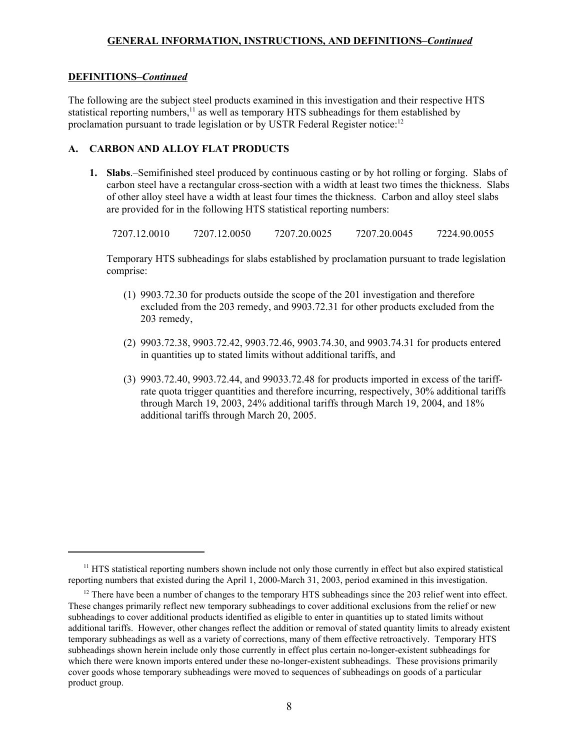## **DEFINITIONS–***Continued*

The following are the subject steel products examined in this investigation and their respective HTS statistical reporting numbers,<sup>11</sup> as well as temporary HTS subheadings for them established by proclamation pursuant to trade legislation or by USTR Federal Register notice:<sup>12</sup>

# **A. CARBON AND ALLOY FLAT PRODUCTS**

**1. Slabs**.–Semifinished steel produced by continuous casting or by hot rolling or forging. Slabs of carbon steel have a rectangular cross-section with a width at least two times the thickness. Slabs of other alloy steel have a width at least four times the thickness. Carbon and alloy steel slabs are provided for in the following HTS statistical reporting numbers:

7207.12.0010 7207.12.0050 7207.20.0025 7207.20.0045 7224.90.0055

Temporary HTS subheadings for slabs established by proclamation pursuant to trade legislation comprise:

- (1) 9903.72.30 for products outside the scope of the 201 investigation and therefore excluded from the 203 remedy, and 9903.72.31 for other products excluded from the 203 remedy,
- (2) 9903.72.38, 9903.72.42, 9903.72.46, 9903.74.30, and 9903.74.31 for products entered in quantities up to stated limits without additional tariffs, and
- (3) 9903.72.40, 9903.72.44, and 99033.72.48 for products imported in excess of the tariffrate quota trigger quantities and therefore incurring, respectively, 30% additional tariffs through March 19, 2003, 24% additional tariffs through March 19, 2004, and 18% additional tariffs through March 20, 2005.

<sup>&</sup>lt;sup>11</sup> HTS statistical reporting numbers shown include not only those currently in effect but also expired statistical reporting numbers that existed during the April 1, 2000-March 31, 2003, period examined in this investigation.

<sup>&</sup>lt;sup>12</sup> There have been a number of changes to the temporary HTS subheadings since the 203 relief went into effect. These changes primarily reflect new temporary subheadings to cover additional exclusions from the relief or new subheadings to cover additional products identified as eligible to enter in quantities up to stated limits without additional tariffs. However, other changes reflect the addition or removal of stated quantity limits to already existent temporary subheadings as well as a variety of corrections, many of them effective retroactively. Temporary HTS subheadings shown herein include only those currently in effect plus certain no-longer-existent subheadings for which there were known imports entered under these no-longer-existent subheadings. These provisions primarily cover goods whose temporary subheadings were moved to sequences of subheadings on goods of a particular product group.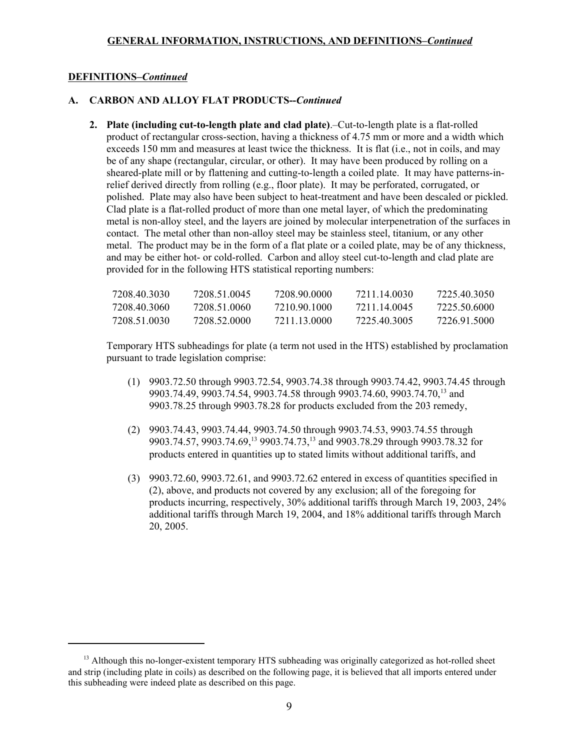### **DEFINITIONS–***Continued*

# **A. CARBON AND ALLOY FLAT PRODUCTS--***Continued*

**2. Plate (including cut-to-length plate and clad plate)**.–Cut-to-length plate is a flat-rolled product of rectangular cross-section, having a thickness of 4.75 mm or more and a width which exceeds 150 mm and measures at least twice the thickness. It is flat (i.e., not in coils, and may be of any shape (rectangular, circular, or other). It may have been produced by rolling on a sheared-plate mill or by flattening and cutting-to-length a coiled plate. It may have patterns-inrelief derived directly from rolling (e.g., floor plate). It may be perforated, corrugated, or polished. Plate may also have been subject to heat-treatment and have been descaled or pickled. Clad plate is a flat-rolled product of more than one metal layer, of which the predominating metal is non-alloy steel, and the layers are joined by molecular interpenetration of the surfaces in contact. The metal other than non-alloy steel may be stainless steel, titanium, or any other metal. The product may be in the form of a flat plate or a coiled plate, may be of any thickness, and may be either hot- or cold-rolled. Carbon and alloy steel cut-to-length and clad plate are provided for in the following HTS statistical reporting numbers:

| 7208 40 3030 | 7208 51 0045 | 7208.90.0000 | 7211 14 0030 | 7225 40 3050 |
|--------------|--------------|--------------|--------------|--------------|
| 7208 40 3060 | 7208 51 0060 | 7210.90.1000 | 7211 14 0045 | 7225 50 6000 |
| 7208 51 0030 | 7208 52.0000 | 7211 13 0000 | 7225 40 3005 | 7226.91.5000 |

Temporary HTS subheadings for plate (a term not used in the HTS) established by proclamation pursuant to trade legislation comprise:

- (1) 9903.72.50 through 9903.72.54, 9903.74.38 through 9903.74.42, 9903.74.45 through 9903.74.49, 9903.74.54, 9903.74.58 through 9903.74.60, 9903.74.70,<sup>13</sup> and 9903.78.25 through 9903.78.28 for products excluded from the 203 remedy,
- (2) 9903.74.43, 9903.74.44, 9903.74.50 through 9903.74.53, 9903.74.55 through 9903.74.57, 9903.74.69,<sup>13</sup> 9903.74.73,<sup>13</sup> and 9903.78.29 through 9903.78.32 for products entered in quantities up to stated limits without additional tariffs, and
- (3) 9903.72.60, 9903.72.61, and 9903.72.62 entered in excess of quantities specified in (2), above, and products not covered by any exclusion; all of the foregoing for products incurring, respectively, 30% additional tariffs through March 19, 2003, 24% additional tariffs through March 19, 2004, and 18% additional tariffs through March 20, 2005.

<sup>&</sup>lt;sup>13</sup> Although this no-longer-existent temporary HTS subheading was originally categorized as hot-rolled sheet and strip (including plate in coils) as described on the following page, it is believed that all imports entered under this subheading were indeed plate as described on this page.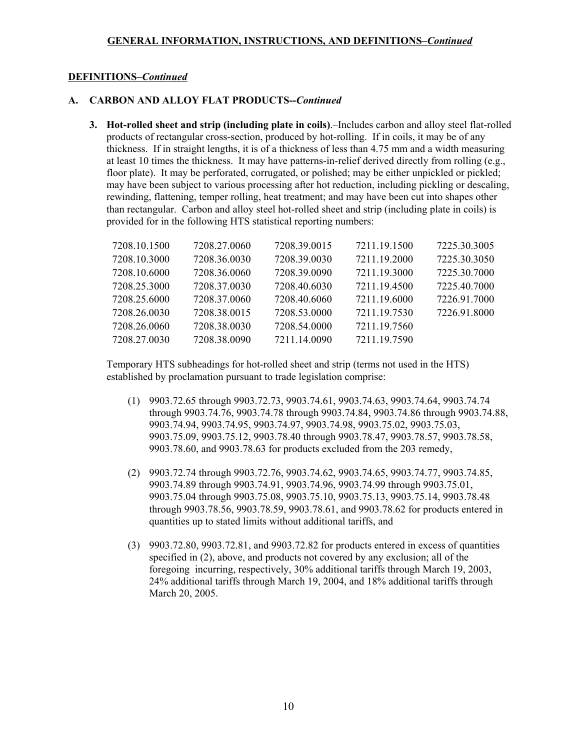## **DEFINITIONS–***Continued*

# **A. CARBON AND ALLOY FLAT PRODUCTS--***Continued*

**3. Hot-rolled sheet and strip (including plate in coils)**.–Includes carbon and alloy steel flat-rolled products of rectangular cross-section, produced by hot-rolling. If in coils, it may be of any thickness. If in straight lengths, it is of a thickness of less than 4.75 mm and a width measuring at least 10 times the thickness. It may have patterns-in-relief derived directly from rolling (e.g., floor plate). It may be perforated, corrugated, or polished; may be either unpickled or pickled; may have been subject to various processing after hot reduction, including pickling or descaling, rewinding, flattening, temper rolling, heat treatment; and may have been cut into shapes other than rectangular. Carbon and alloy steel hot-rolled sheet and strip (including plate in coils) is provided for in the following HTS statistical reporting numbers:

| 7208.10.1500 | 7208.27.0060 | 7208.39.0015 | 7211.19.1500 | 7225.30.3005 |
|--------------|--------------|--------------|--------------|--------------|
| 7208.10.3000 | 7208.36.0030 | 7208.39.0030 | 7211.19.2000 | 7225.30.3050 |
| 7208.10.6000 | 7208.36.0060 | 7208.39.0090 | 7211.19.3000 | 7225.30.7000 |
| 7208.25.3000 | 7208.37.0030 | 7208.40.6030 | 7211.19.4500 | 7225.40.7000 |
| 7208.25.6000 | 7208.37.0060 | 7208.40.6060 | 7211.19.6000 | 7226.91.7000 |
| 7208.26.0030 | 7208.38.0015 | 7208.53.0000 | 7211.19.7530 | 7226.91.8000 |
| 7208.26.0060 | 7208.38.0030 | 7208.54.0000 | 7211.19.7560 |              |
| 7208.27.0030 | 7208.38.0090 | 7211.14.0090 | 7211.19.7590 |              |

Temporary HTS subheadings for hot-rolled sheet and strip (terms not used in the HTS) established by proclamation pursuant to trade legislation comprise:

- (1) 9903.72.65 through 9903.72.73, 9903.74.61, 9903.74.63, 9903.74.64, 9903.74.74 through 9903.74.76, 9903.74.78 through 9903.74.84, 9903.74.86 through 9903.74.88, 9903.74.94, 9903.74.95, 9903.74.97, 9903.74.98, 9903.75.02, 9903.75.03, 9903.75.09, 9903.75.12, 9903.78.40 through 9903.78.47, 9903.78.57, 9903.78.58, 9903.78.60, and 9903.78.63 for products excluded from the 203 remedy,
- (2) 9903.72.74 through 9903.72.76, 9903.74.62, 9903.74.65, 9903.74.77, 9903.74.85, 9903.74.89 through 9903.74.91, 9903.74.96, 9903.74.99 through 9903.75.01, 9903.75.04 through 9903.75.08, 9903.75.10, 9903.75.13, 9903.75.14, 9903.78.48 through 9903.78.56, 9903.78.59, 9903.78.61, and 9903.78.62 for products entered in quantities up to stated limits without additional tariffs, and
- (3) 9903.72.80, 9903.72.81, and 9903.72.82 for products entered in excess of quantities specified in (2), above, and products not covered by any exclusion; all of the foregoing incurring, respectively, 30% additional tariffs through March 19, 2003, 24% additional tariffs through March 19, 2004, and 18% additional tariffs through March 20, 2005.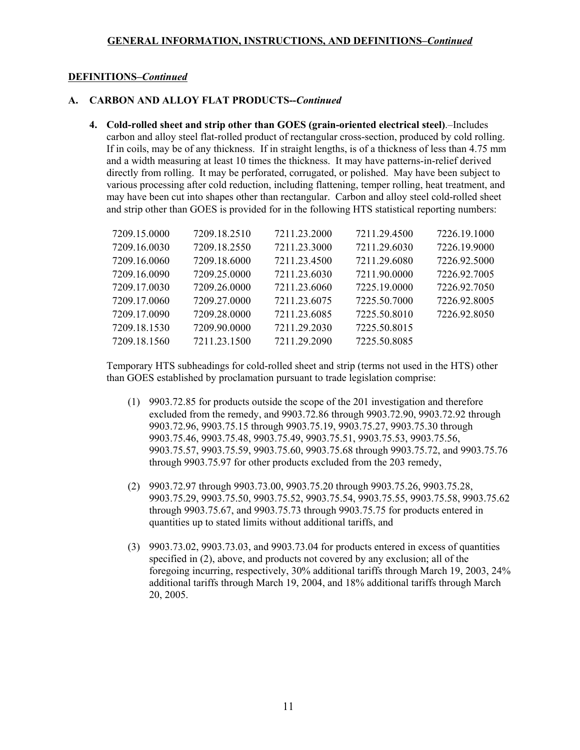### **DEFINITIONS–***Continued*

# **A. CARBON AND ALLOY FLAT PRODUCTS--***Continued*

**4. Cold-rolled sheet and strip other than GOES (grain-oriented electrical steel)**.–Includes carbon and alloy steel flat-rolled product of rectangular cross-section, produced by cold rolling. If in coils, may be of any thickness. If in straight lengths, is of a thickness of less than 4.75 mm and a width measuring at least 10 times the thickness. It may have patterns-in-relief derived directly from rolling. It may be perforated, corrugated, or polished. May have been subject to various processing after cold reduction, including flattening, temper rolling, heat treatment, and may have been cut into shapes other than rectangular. Carbon and alloy steel cold-rolled sheet and strip other than GOES is provided for in the following HTS statistical reporting numbers:

| 7209.15.0000 | 7209.18.2510 | 7211.23.2000 | 7211.29.4500 | 7226.19.1000 |
|--------------|--------------|--------------|--------------|--------------|
| 7209.16.0030 | 7209.18.2550 | 7211.23.3000 | 7211.29.6030 | 7226.19.9000 |
| 7209.16.0060 | 7209.18.6000 | 7211.23.4500 | 7211.29.6080 | 7226.92.5000 |
| 7209.16.0090 | 7209.25.0000 | 7211.23.6030 | 7211.90.0000 | 7226.92.7005 |
| 7209.17.0030 | 7209.26.0000 | 7211.23.6060 | 7225.19.0000 | 7226.92.7050 |
| 7209.17.0060 | 7209.27.0000 | 7211.23.6075 | 7225.50.7000 | 7226.92.8005 |
| 7209.17.0090 | 7209.28.0000 | 7211.23.6085 | 7225.50.8010 | 7226.92.8050 |
| 7209.18.1530 | 7209.90.0000 | 7211.29.2030 | 7225.50.8015 |              |
| 7209.18.1560 | 7211.23.1500 | 7211.29.2090 | 7225.50.8085 |              |
|              |              |              |              |              |

Temporary HTS subheadings for cold-rolled sheet and strip (terms not used in the HTS) other than GOES established by proclamation pursuant to trade legislation comprise:

- (1) 9903.72.85 for products outside the scope of the 201 investigation and therefore excluded from the remedy, and 9903.72.86 through 9903.72.90, 9903.72.92 through 9903.72.96, 9903.75.15 through 9903.75.19, 9903.75.27, 9903.75.30 through 9903.75.46, 9903.75.48, 9903.75.49, 9903.75.51, 9903.75.53, 9903.75.56, 9903.75.57, 9903.75.59, 9903.75.60, 9903.75.68 through 9903.75.72, and 9903.75.76 through 9903.75.97 for other products excluded from the 203 remedy,
- (2) 9903.72.97 through 9903.73.00, 9903.75.20 through 9903.75.26, 9903.75.28, 9903.75.29, 9903.75.50, 9903.75.52, 9903.75.54, 9903.75.55, 9903.75.58, 9903.75.62 through 9903.75.67, and 9903.75.73 through 9903.75.75 for products entered in quantities up to stated limits without additional tariffs, and
- (3) 9903.73.02, 9903.73.03, and 9903.73.04 for products entered in excess of quantities specified in (2), above, and products not covered by any exclusion; all of the foregoing incurring, respectively, 30% additional tariffs through March 19, 2003, 24% additional tariffs through March 19, 2004, and 18% additional tariffs through March 20, 2005.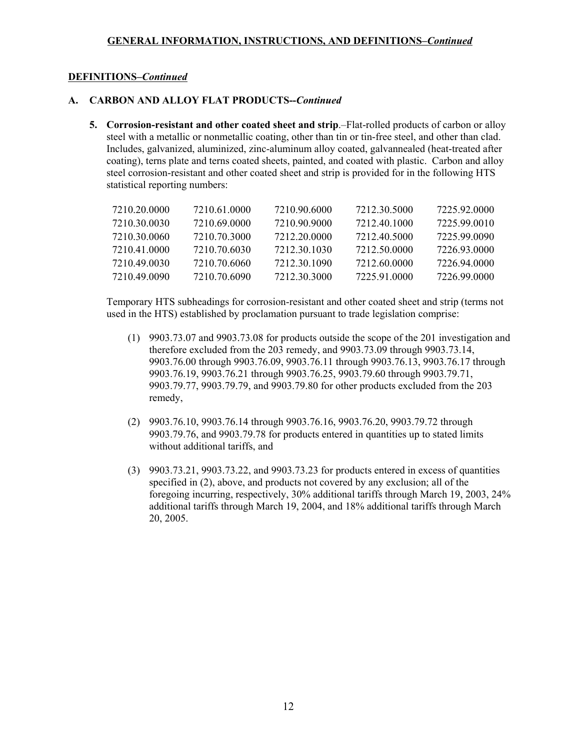## **DEFINITIONS–***Continued*

### **A. CARBON AND ALLOY FLAT PRODUCTS--***Continued*

**5. Corrosion-resistant and other coated sheet and strip**.–Flat-rolled products of carbon or alloy steel with a metallic or nonmetallic coating, other than tin or tin-free steel, and other than clad. Includes, galvanized, aluminized, zinc-aluminum alloy coated, galvannealed (heat-treated after coating), terns plate and terns coated sheets, painted, and coated with plastic. Carbon and alloy steel corrosion-resistant and other coated sheet and strip is provided for in the following HTS statistical reporting numbers:

| 7210 20 0000 | 7210.61.0000 | 7210 90 6000 | 7212 30 5000 | 7225 92 0000 |
|--------------|--------------|--------------|--------------|--------------|
| 7210.30.0030 | 7210.69.0000 | 7210.90.9000 | 7212 40 1000 | 7225 99 0010 |
| 7210.30.0060 | 7210 70 3000 | 7212-20-0000 | 7212.40.5000 | 7225.99.0090 |
| 7210.41.0000 | 7210 70 6030 | 7212.30.1030 | 7212 50 0000 | 7226.93.0000 |
| 7210 49 0030 | 7210 70 6060 | 7212.30.1090 | 7212 60 0000 | 7226.94.0000 |
| 7210.49.0090 | 7210 70 6090 | 7212.30.3000 | 7225.91.0000 | 7226.99.0000 |

Temporary HTS subheadings for corrosion-resistant and other coated sheet and strip (terms not used in the HTS) established by proclamation pursuant to trade legislation comprise:

- (1) 9903.73.07 and 9903.73.08 for products outside the scope of the 201 investigation and therefore excluded from the 203 remedy, and 9903.73.09 through 9903.73.14, 9903.76.00 through 9903.76.09, 9903.76.11 through 9903.76.13, 9903.76.17 through 9903.76.19, 9903.76.21 through 9903.76.25, 9903.79.60 through 9903.79.71, 9903.79.77, 9903.79.79, and 9903.79.80 for other products excluded from the 203 remedy,
- (2) 9903.76.10, 9903.76.14 through 9903.76.16, 9903.76.20, 9903.79.72 through 9903.79.76, and 9903.79.78 for products entered in quantities up to stated limits without additional tariffs, and
- (3) 9903.73.21, 9903.73.22, and 9903.73.23 for products entered in excess of quantities specified in (2), above, and products not covered by any exclusion; all of the foregoing incurring, respectively, 30% additional tariffs through March 19, 2003, 24% additional tariffs through March 19, 2004, and 18% additional tariffs through March 20, 2005.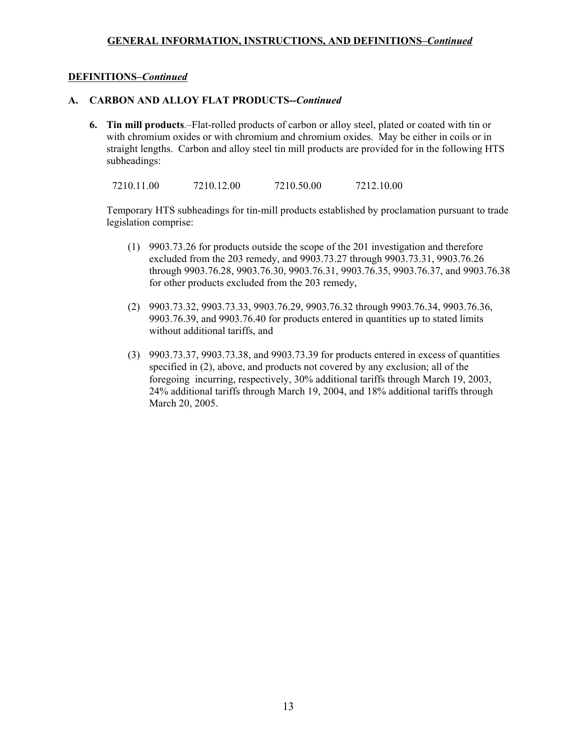# **DEFINITIONS–***Continued*

### **A. CARBON AND ALLOY FLAT PRODUCTS--***Continued*

**6. Tin mill products**.–Flat-rolled products of carbon or alloy steel, plated or coated with tin or with chromium oxides or with chromium and chromium oxides. May be either in coils or in straight lengths. Carbon and alloy steel tin mill products are provided for in the following HTS subheadings:

7210.11.00 7210.12.00 7210.50.00 7212.10.00

Temporary HTS subheadings for tin-mill products established by proclamation pursuant to trade legislation comprise:

- (1) 9903.73.26 for products outside the scope of the 201 investigation and therefore excluded from the 203 remedy, and 9903.73.27 through 9903.73.31, 9903.76.26 through 9903.76.28, 9903.76.30, 9903.76.31, 9903.76.35, 9903.76.37, and 9903.76.38 for other products excluded from the 203 remedy,
- (2) 9903.73.32, 9903.73.33, 9903.76.29, 9903.76.32 through 9903.76.34, 9903.76.36, 9903.76.39, and 9903.76.40 for products entered in quantities up to stated limits without additional tariffs, and
- (3) 9903.73.37, 9903.73.38, and 9903.73.39 for products entered in excess of quantities specified in (2), above, and products not covered by any exclusion; all of the foregoing incurring, respectively, 30% additional tariffs through March 19, 2003, 24% additional tariffs through March 19, 2004, and 18% additional tariffs through March 20, 2005.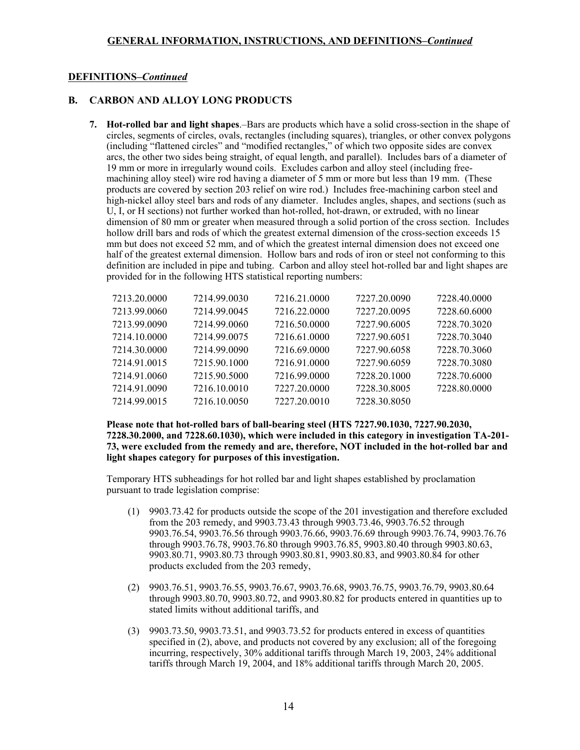#### **DEFINITIONS–***Continued*

#### **B. CARBON AND ALLOY LONG PRODUCTS**

**7. Hot-rolled bar and light shapes**.–Bars are products which have a solid cross-section in the shape of circles, segments of circles, ovals, rectangles (including squares), triangles, or other convex polygons (including "flattened circles" and "modified rectangles," of which two opposite sides are convex arcs, the other two sides being straight, of equal length, and parallel). Includes bars of a diameter of 19 mm or more in irregularly wound coils. Excludes carbon and alloy steel (including freemachining alloy steel) wire rod having a diameter of 5 mm or more but less than 19 mm. (These products are covered by section 203 relief on wire rod.) Includes free-machining carbon steel and high-nickel alloy steel bars and rods of any diameter. Includes angles, shapes, and sections (such as U, I, or H sections) not further worked than hot-rolled, hot-drawn, or extruded, with no linear dimension of 80 mm or greater when measured through a solid portion of the cross section. Includes hollow drill bars and rods of which the greatest external dimension of the cross-section exceeds 15 mm but does not exceed 52 mm, and of which the greatest internal dimension does not exceed one half of the greatest external dimension. Hollow bars and rods of iron or steel not conforming to this definition are included in pipe and tubing. Carbon and alloy steel hot-rolled bar and light shapes are provided for in the following HTS statistical reporting numbers:

| 7213.20.0000 | 7214.99.0030 | 7216.21.0000 | 7227.20.0090 | 7228.40.0000 |
|--------------|--------------|--------------|--------------|--------------|
| 7213.99.0060 | 7214.99.0045 | 7216.22.0000 | 7227.20.0095 | 7228.60.6000 |
| 7213.99.0090 | 7214.99.0060 | 7216.50.0000 | 7227.90.6005 | 7228.70.3020 |
| 7214.10.0000 | 7214.99.0075 | 7216.61.0000 | 7227.90.6051 | 7228.70.3040 |
| 7214.30.0000 | 7214.99.0090 | 7216.69.0000 | 7227.90.6058 | 7228.70.3060 |
| 7214.91.0015 | 7215.90.1000 | 7216.91.0000 | 7227.90.6059 | 7228.70.3080 |
| 7214.91.0060 | 7215.90.5000 | 7216.99.0000 | 7228.20.1000 | 7228.70.6000 |
| 7214.91.0090 | 7216.10.0010 | 7227.20.0000 | 7228.30.8005 | 7228.80.0000 |
| 7214.99.0015 | 7216.10.0050 | 7227.20.0010 | 7228.30.8050 |              |

### **Please note that hot-rolled bars of ball-bearing steel (HTS 7227.90.1030, 7227.90.2030, 7228.30.2000, and 7228.60.1030), which were included in this category in investigation TA-201- 73, were excluded from the remedy and are, therefore, NOT included in the hot-rolled bar and light shapes category for purposes of this investigation.**

Temporary HTS subheadings for hot rolled bar and light shapes established by proclamation pursuant to trade legislation comprise:

- (1) 9903.73.42 for products outside the scope of the 201 investigation and therefore excluded from the 203 remedy, and 9903.73.43 through 9903.73.46, 9903.76.52 through 9903.76.54, 9903.76.56 through 9903.76.66, 9903.76.69 through 9903.76.74, 9903.76.76 through 9903.76.78, 9903.76.80 through 9903.76.85, 9903.80.40 through 9903.80.63, 9903.80.71, 9903.80.73 through 9903.80.81, 9903.80.83, and 9903.80.84 for other products excluded from the 203 remedy,
- (2) 9903.76.51, 9903.76.55, 9903.76.67, 9903.76.68, 9903.76.75, 9903.76.79, 9903.80.64 through 9903.80.70, 9903.80.72, and 9903.80.82 for products entered in quantities up to stated limits without additional tariffs, and
- (3) 9903.73.50, 9903.73.51, and 9903.73.52 for products entered in excess of quantities specified in (2), above, and products not covered by any exclusion; all of the foregoing incurring, respectively, 30% additional tariffs through March 19, 2003, 24% additional tariffs through March 19, 2004, and 18% additional tariffs through March 20, 2005.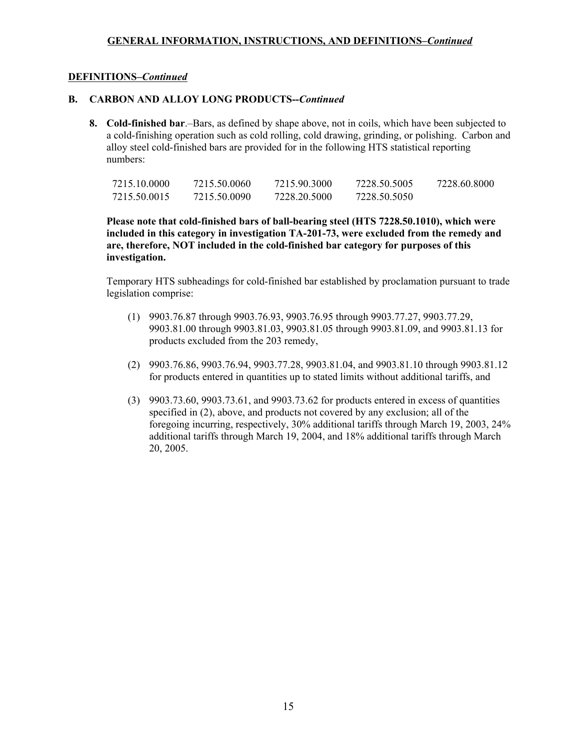### **DEFINITIONS–***Continued*

# **B. CARBON AND ALLOY LONG PRODUCTS--***Continued*

**8. Cold-finished bar**.–Bars, as defined by shape above, not in coils, which have been subjected to a cold-finishing operation such as cold rolling, cold drawing, grinding, or polishing. Carbon and alloy steel cold-finished bars are provided for in the following HTS statistical reporting numbers:

| 7215.10.0000 | 7215.50.0060 | 7215.90.3000 | 7228.50.5005 | 7228.60.8000 |
|--------------|--------------|--------------|--------------|--------------|
| 7215.50.0015 | 7215.50.0090 | 7228.20.5000 | 7228.50.5050 |              |

**Please note that cold-finished bars of ball-bearing steel (HTS 7228.50.1010), which were included in this category in investigation TA-201-73, were excluded from the remedy and are, therefore, NOT included in the cold-finished bar category for purposes of this investigation.**

Temporary HTS subheadings for cold-finished bar established by proclamation pursuant to trade legislation comprise:

- (1) 9903.76.87 through 9903.76.93, 9903.76.95 through 9903.77.27, 9903.77.29, 9903.81.00 through 9903.81.03, 9903.81.05 through 9903.81.09, and 9903.81.13 for products excluded from the 203 remedy,
- (2) 9903.76.86, 9903.76.94, 9903.77.28, 9903.81.04, and 9903.81.10 through 9903.81.12 for products entered in quantities up to stated limits without additional tariffs, and
- (3) 9903.73.60, 9903.73.61, and 9903.73.62 for products entered in excess of quantities specified in (2), above, and products not covered by any exclusion; all of the foregoing incurring, respectively, 30% additional tariffs through March 19, 2003, 24% additional tariffs through March 19, 2004, and 18% additional tariffs through March 20, 2005.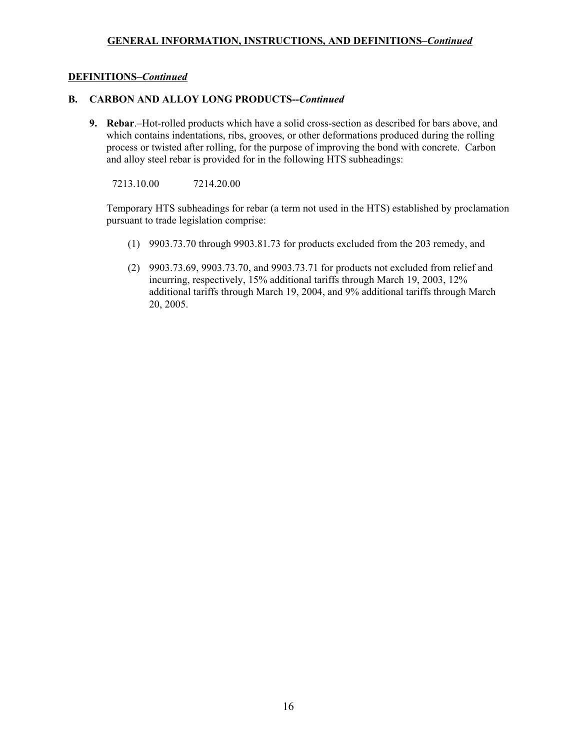# **DEFINITIONS–***Continued*

# **B. CARBON AND ALLOY LONG PRODUCTS--***Continued*

**9. Rebar**.–Hot-rolled products which have a solid cross-section as described for bars above, and which contains indentations, ribs, grooves, or other deformations produced during the rolling process or twisted after rolling, for the purpose of improving the bond with concrete. Carbon and alloy steel rebar is provided for in the following HTS subheadings:

7213.10.00 7214.20.00

Temporary HTS subheadings for rebar (a term not used in the HTS) established by proclamation pursuant to trade legislation comprise:

- (1) 9903.73.70 through 9903.81.73 for products excluded from the 203 remedy, and
- (2) 9903.73.69, 9903.73.70, and 9903.73.71 for products not excluded from relief and incurring, respectively, 15% additional tariffs through March 19, 2003, 12% additional tariffs through March 19, 2004, and 9% additional tariffs through March 20, 2005.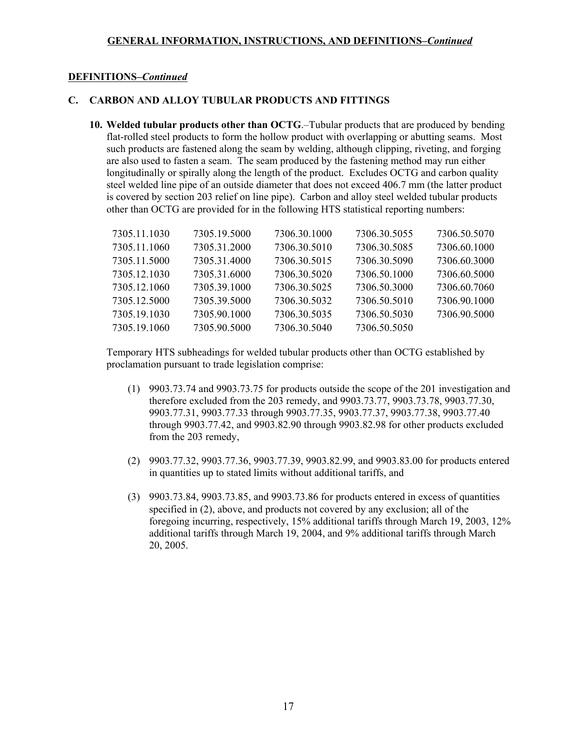### **DEFINITIONS–***Continued*

### **C. CARBON AND ALLOY TUBULAR PRODUCTS AND FITTINGS**

**10. Welded tubular products other than OCTG**.–Tubular products that are produced by bending flat-rolled steel products to form the hollow product with overlapping or abutting seams. Most such products are fastened along the seam by welding, although clipping, riveting, and forging are also used to fasten a seam. The seam produced by the fastening method may run either longitudinally or spirally along the length of the product. Excludes OCTG and carbon quality steel welded line pipe of an outside diameter that does not exceed 406.7 mm (the latter product is covered by section 203 relief on line pipe). Carbon and alloy steel welded tubular products other than OCTG are provided for in the following HTS statistical reporting numbers:

| 7305.11.1030 | 7305.19.5000 | 7306.30.1000 | 7306.30.5055 | 7306.50.5070 |
|--------------|--------------|--------------|--------------|--------------|
| 7305.11.1060 | 7305.31.2000 | 7306.30.5010 | 7306.30.5085 | 7306.60.1000 |
| 7305.11.5000 | 7305.31.4000 | 7306.30.5015 | 7306.30.5090 | 7306.60.3000 |
| 7305.12.1030 | 7305.31.6000 | 7306.30.5020 | 7306.50.1000 | 7306.60.5000 |
| 7305.12.1060 | 7305.39.1000 | 7306.30.5025 | 7306.50.3000 | 7306.60.7060 |
| 7305.12.5000 | 7305.39.5000 | 7306.30.5032 | 7306.50.5010 | 7306.90.1000 |
| 7305.19.1030 | 7305.90.1000 | 7306.30.5035 | 7306.50.5030 | 7306.90.5000 |
| 7305.19.1060 | 7305.90.5000 | 7306.30.5040 | 7306.50.5050 |              |

Temporary HTS subheadings for welded tubular products other than OCTG established by proclamation pursuant to trade legislation comprise:

- (1) 9903.73.74 and 9903.73.75 for products outside the scope of the 201 investigation and therefore excluded from the 203 remedy, and 9903.73.77, 9903.73.78, 9903.77.30, 9903.77.31, 9903.77.33 through 9903.77.35, 9903.77.37, 9903.77.38, 9903.77.40 through 9903.77.42, and 9903.82.90 through 9903.82.98 for other products excluded from the 203 remedy,
- (2) 9903.77.32, 9903.77.36, 9903.77.39, 9903.82.99, and 9903.83.00 for products entered in quantities up to stated limits without additional tariffs, and
- (3) 9903.73.84, 9903.73.85, and 9903.73.86 for products entered in excess of quantities specified in (2), above, and products not covered by any exclusion; all of the foregoing incurring, respectively, 15% additional tariffs through March 19, 2003, 12% additional tariffs through March 19, 2004, and 9% additional tariffs through March 20, 2005.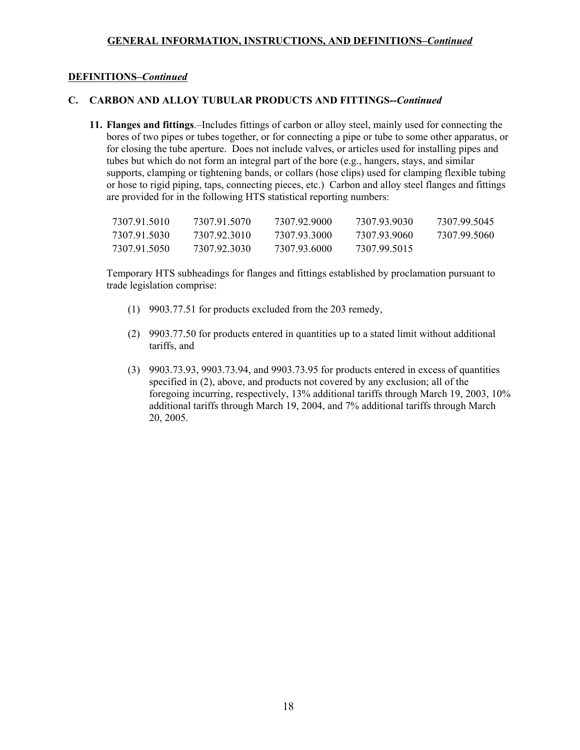## **DEFINITIONS–***Continued*

### **C. CARBON AND ALLOY TUBULAR PRODUCTS AND FITTINGS--***Continued*

**11. Flanges and fittings**.–Includes fittings of carbon or alloy steel, mainly used for connecting the bores of two pipes or tubes together, or for connecting a pipe or tube to some other apparatus, or for closing the tube aperture. Does not include valves, or articles used for installing pipes and tubes but which do not form an integral part of the bore (e.g., hangers, stays, and similar supports, clamping or tightening bands, or collars (hose clips) used for clamping flexible tubing or hose to rigid piping, taps, connecting pieces, etc.) Carbon and alloy steel flanges and fittings are provided for in the following HTS statistical reporting numbers:

| 7307 91 5010 | 7307.91.5070 | 7307 92 9000 | 7307 93 9030 | 7307 99 5045 |
|--------------|--------------|--------------|--------------|--------------|
| 7307 91 5030 | 7307 92 3010 | 7307.93.3000 | 7307 93 9060 | 7307 99 5060 |
| 7307 91 5050 | 7307 92 3030 | 7307.93.6000 | 7307 99 5015 |              |

Temporary HTS subheadings for flanges and fittings established by proclamation pursuant to trade legislation comprise:

- (1) 9903.77.51 for products excluded from the 203 remedy,
- (2) 9903.77.50 for products entered in quantities up to a stated limit without additional tariffs, and
- (3) 9903.73.93, 9903.73.94, and 9903.73.95 for products entered in excess of quantities specified in (2), above, and products not covered by any exclusion; all of the foregoing incurring, respectively, 13% additional tariffs through March 19, 2003, 10% additional tariffs through March 19, 2004, and 7% additional tariffs through March 20, 2005.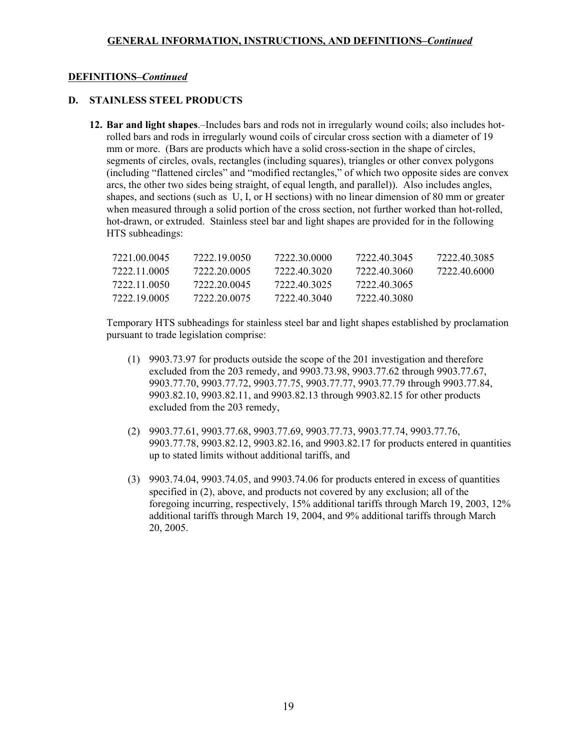### **DEFINITIONS–***Continued*

# **D. STAINLESS STEEL PRODUCTS**

**12. Bar and light shapes**.–Includes bars and rods not in irregularly wound coils; also includes hotrolled bars and rods in irregularly wound coils of circular cross section with a diameter of 19 mm or more. (Bars are products which have a solid cross-section in the shape of circles, segments of circles, ovals, rectangles (including squares), triangles or other convex polygons (including "flattened circles" and "modified rectangles," of which two opposite sides are convex arcs, the other two sides being straight, of equal length, and parallel)). Also includes angles, shapes, and sections (such as U, I, or H sections) with no linear dimension of 80 mm or greater when measured through a solid portion of the cross section, not further worked than hot-rolled, hot-drawn, or extruded. Stainless steel bar and light shapes are provided for in the following HTS subheadings:

| 7221 00 0045 | 7222 19 0050 | 7222.30.0000 | 7222 40 3045 | 7222 40 3085 |
|--------------|--------------|--------------|--------------|--------------|
| 7222 11 0005 | 7222.20.0005 | 7222.40.3020 | 7222.40.3060 | 7222 40 6000 |
| 7222 11 0050 | 7222.20.0045 | 7222.40.3025 | 7222.40.3065 |              |
| 7222 19 0005 | 7222.20.0075 | 7222 40 3040 | 7222.40.3080 |              |

Temporary HTS subheadings for stainless steel bar and light shapes established by proclamation pursuant to trade legislation comprise:

- (1) 9903.73.97 for products outside the scope of the 201 investigation and therefore excluded from the 203 remedy, and 9903.73.98, 9903.77.62 through 9903.77.67, 9903.77.70, 9903.77.72, 9903.77.75, 9903.77.77, 9903.77.79 through 9903.77.84, 9903.82.10, 9903.82.11, and 9903.82.13 through 9903.82.15 for other products excluded from the 203 remedy,
- (2) 9903.77.61, 9903.77.68, 9903.77.69, 9903.77.73, 9903.77.74, 9903.77.76, 9903.77.78, 9903.82.12, 9903.82.16, and 9903.82.17 for products entered in quantities up to stated limits without additional tariffs, and
- (3) 9903.74.04, 9903.74.05, and 9903.74.06 for products entered in excess of quantities specified in (2), above, and products not covered by any exclusion; all of the foregoing incurring, respectively, 15% additional tariffs through March 19, 2003, 12% additional tariffs through March 19, 2004, and 9% additional tariffs through March 20, 2005.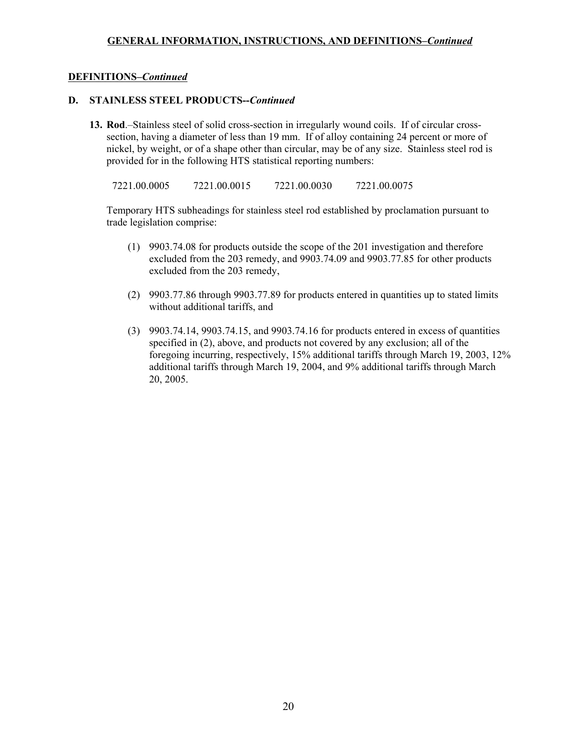### **DEFINITIONS–***Continued*

### **D. STAINLESS STEEL PRODUCTS--***Continued*

**13. Rod**.–Stainless steel of solid cross-section in irregularly wound coils. If of circular crosssection, having a diameter of less than 19 mm. If of alloy containing 24 percent or more of nickel, by weight, or of a shape other than circular, may be of any size. Stainless steel rod is provided for in the following HTS statistical reporting numbers:

7221.00.0005 7221.00.0015 7221.00.0030 7221.00.0075

Temporary HTS subheadings for stainless steel rod established by proclamation pursuant to trade legislation comprise:

- (1) 9903.74.08 for products outside the scope of the 201 investigation and therefore excluded from the 203 remedy, and 9903.74.09 and 9903.77.85 for other products excluded from the 203 remedy,
- (2) 9903.77.86 through 9903.77.89 for products entered in quantities up to stated limits without additional tariffs, and
- (3) 9903.74.14, 9903.74.15, and 9903.74.16 for products entered in excess of quantities specified in (2), above, and products not covered by any exclusion; all of the foregoing incurring, respectively, 15% additional tariffs through March 19, 2003, 12% additional tariffs through March 19, 2004, and 9% additional tariffs through March 20, 2005.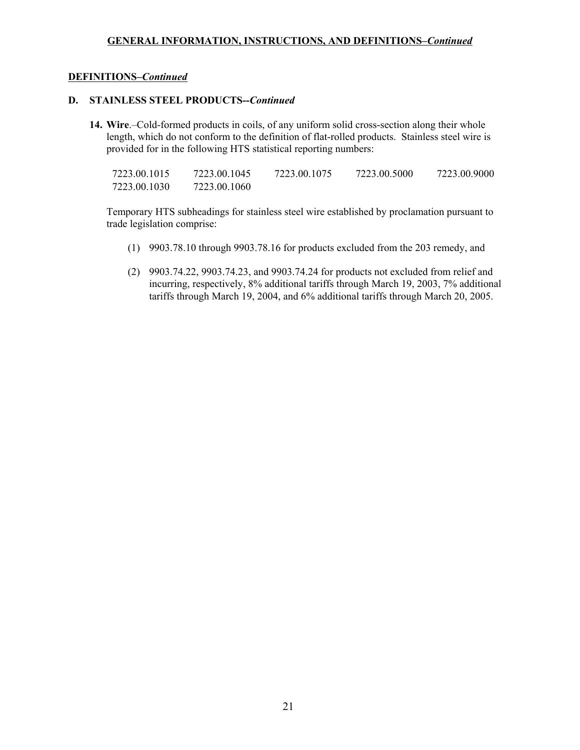### **DEFINITIONS–***Continued*

### **D. STAINLESS STEEL PRODUCTS--***Continued*

**14. Wire**.–Cold-formed products in coils, of any uniform solid cross-section along their whole length, which do not conform to the definition of flat-rolled products. Stainless steel wire is provided for in the following HTS statistical reporting numbers:

| 7223.00.1015 | 7223.00.1045 | 7223.00.1075 | 7223.00.5000 | 7223.00.9000 |
|--------------|--------------|--------------|--------------|--------------|
| 7223.00.1030 | 7223.00.1060 |              |              |              |

Temporary HTS subheadings for stainless steel wire established by proclamation pursuant to trade legislation comprise:

- (1) 9903.78.10 through 9903.78.16 for products excluded from the 203 remedy, and
- (2) 9903.74.22, 9903.74.23, and 9903.74.24 for products not excluded from relief and incurring, respectively, 8% additional tariffs through March 19, 2003, 7% additional tariffs through March 19, 2004, and 6% additional tariffs through March 20, 2005.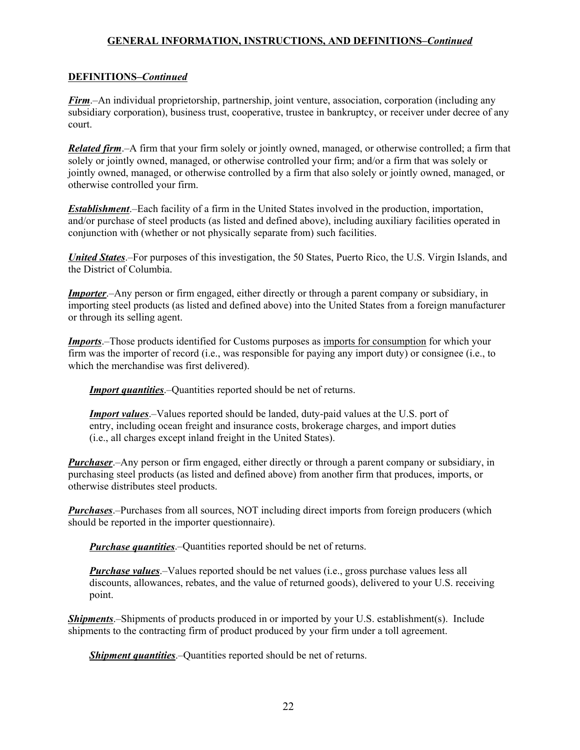## **DEFINITIONS–***Continued*

*Firm*.–An individual proprietorship, partnership, joint venture, association, corporation (including any subsidiary corporation), business trust, cooperative, trustee in bankruptcy, or receiver under decree of any court.

*Related firm.*–A firm that your firm solely or jointly owned, managed, or otherwise controlled; a firm that solely or jointly owned, managed, or otherwise controlled your firm; and/or a firm that was solely or jointly owned, managed, or otherwise controlled by a firm that also solely or jointly owned, managed, or otherwise controlled your firm.

*Establishment*.–Each facility of a firm in the United States involved in the production, importation, and/or purchase of steel products (as listed and defined above), including auxiliary facilities operated in conjunction with (whether or not physically separate from) such facilities.

*United States*.–For purposes of this investigation, the 50 States, Puerto Rico, the U.S. Virgin Islands, and the District of Columbia.

*Importer*.–Any person or firm engaged, either directly or through a parent company or subsidiary, in importing steel products (as listed and defined above) into the United States from a foreign manufacturer or through its selling agent.

*Imports*.–Those products identified for Customs purposes as imports for consumption for which your firm was the importer of record (i.e., was responsible for paying any import duty) or consignee (i.e., to which the merchandise was first delivered).

*Import quantities*.–Quantities reported should be net of returns.

*Import values*.–Values reported should be landed, duty-paid values at the U.S. port of entry, including ocean freight and insurance costs, brokerage charges, and import duties (i.e., all charges except inland freight in the United States).

*Purchaser*.–Any person or firm engaged, either directly or through a parent company or subsidiary, in purchasing steel products (as listed and defined above) from another firm that produces, imports, or otherwise distributes steel products.

*Purchases*.–Purchases from all sources, NOT including direct imports from foreign producers (which should be reported in the importer questionnaire).

*Purchase quantities*.–Quantities reported should be net of returns.

*Purchase values*.–Values reported should be net values (i.e., gross purchase values less all discounts, allowances, rebates, and the value of returned goods), delivered to your U.S. receiving point.

*Shipments*.–Shipments of products produced in or imported by your U.S. establishment(s). Include shipments to the contracting firm of product produced by your firm under a toll agreement.

*Shipment quantities*.–Quantities reported should be net of returns.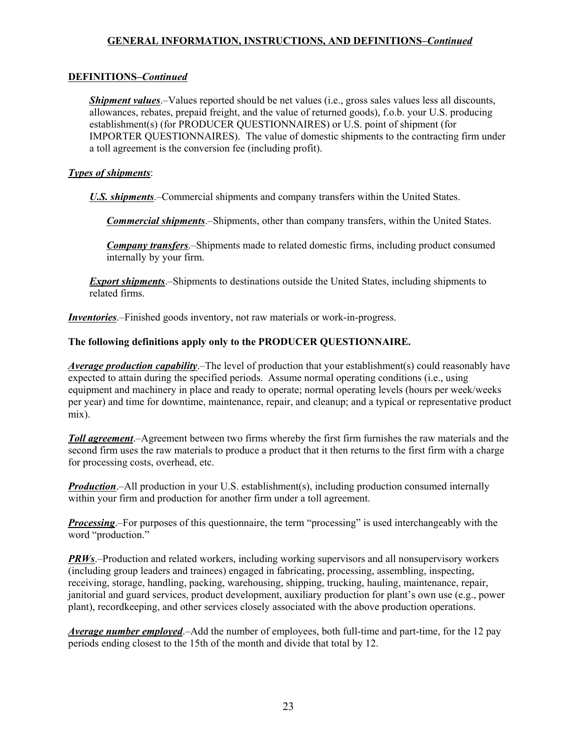# **DEFINITIONS–***Continued*

*Shipment values*.–Values reported should be net values (i.e., gross sales values less all discounts, allowances, rebates, prepaid freight, and the value of returned goods), f.o.b. your U.S. producing establishment(s) (for PRODUCER QUESTIONNAIRES) or U.S. point of shipment (for IMPORTER QUESTIONNAIRES). The value of domestic shipments to the contracting firm under a toll agreement is the conversion fee (including profit).

# *Types of shipments*:

*U.S. shipments*.–Commercial shipments and company transfers within the United States.

*Commercial shipments*.–Shipments, other than company transfers, within the United States.

*Company transfers*.–Shipments made to related domestic firms, including product consumed internally by your firm.

*Export shipments*.–Shipments to destinations outside the United States, including shipments to related firms.

*Inventories*.–Finished goods inventory, not raw materials or work-in-progress.

# **The following definitions apply only to the PRODUCER QUESTIONNAIRE.**

*Average production capability*.–The level of production that your establishment(s) could reasonably have expected to attain during the specified periods. Assume normal operating conditions (i.e., using equipment and machinery in place and ready to operate; normal operating levels (hours per week/weeks per year) and time for downtime, maintenance, repair, and cleanup; and a typical or representative product mix).

*Toll agreement*.–Agreement between two firms whereby the first firm furnishes the raw materials and the second firm uses the raw materials to produce a product that it then returns to the first firm with a charge for processing costs, overhead, etc.

*Production*.–All production in your U.S. establishment(s), including production consumed internally within your firm and production for another firm under a toll agreement.

*Processing*.–For purposes of this questionnaire, the term "processing" is used interchangeably with the word "production."

*PRWs*.–Production and related workers, including working supervisors and all nonsupervisory workers (including group leaders and trainees) engaged in fabricating, processing, assembling, inspecting, receiving, storage, handling, packing, warehousing, shipping, trucking, hauling, maintenance, repair, janitorial and guard services, product development, auxiliary production for plant's own use (e.g., power plant), recordkeeping, and other services closely associated with the above production operations.

*Average number employed*.–Add the number of employees, both full-time and part-time, for the 12 pay periods ending closest to the 15th of the month and divide that total by 12.